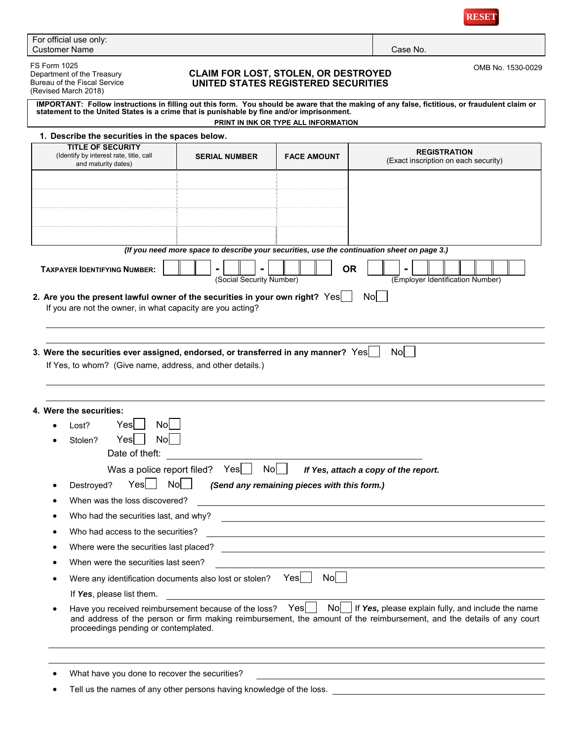

| For official use only: |          |
|------------------------|----------|
| <b>Customer Name</b>   | Case No. |

FS Form 1025 Department of the Treasury Bureau of the Fiscal Service (Revised March 2018)

# **CLAIM FOR LOST, STOLEN, OR DESTROYED UNITED STATES REGISTERED SECURITIES**

OMB No. 1530-0029

| IMPORTANT: Follow instructions in filling out this form. You should be aware that the making of any false, fictitious, or fraudulent claim or<br>statement to the United States is a crime that is punishable by fine and/or imprisonment.<br>PRINT IN INK OR TYPE ALL INFORMATION |                                                                                             |                                             |                                                                                                                                                                                         |  |
|------------------------------------------------------------------------------------------------------------------------------------------------------------------------------------------------------------------------------------------------------------------------------------|---------------------------------------------------------------------------------------------|---------------------------------------------|-----------------------------------------------------------------------------------------------------------------------------------------------------------------------------------------|--|
| 1. Describe the securities in the spaces below.                                                                                                                                                                                                                                    |                                                                                             |                                             |                                                                                                                                                                                         |  |
| <b>TITLE OF SECURITY</b><br>(Identify by interest rate, title, call<br>and maturity dates)                                                                                                                                                                                         | <b>SERIAL NUMBER</b>                                                                        |                                             | <b>REGISTRATION</b><br>(Exact inscription on each security)                                                                                                                             |  |
|                                                                                                                                                                                                                                                                                    |                                                                                             |                                             |                                                                                                                                                                                         |  |
|                                                                                                                                                                                                                                                                                    |                                                                                             |                                             |                                                                                                                                                                                         |  |
|                                                                                                                                                                                                                                                                                    |                                                                                             |                                             |                                                                                                                                                                                         |  |
|                                                                                                                                                                                                                                                                                    |                                                                                             |                                             |                                                                                                                                                                                         |  |
|                                                                                                                                                                                                                                                                                    | (If you need more space to describe your securities, use the continuation sheet on page 3.) |                                             |                                                                                                                                                                                         |  |
| <b>TAXPAYER IDENTIFYING NUMBER:</b>                                                                                                                                                                                                                                                | (Social Security Number)                                                                    |                                             | <b>OR</b><br>(Employer Identification Number)                                                                                                                                           |  |
| 2. Are you the present lawful owner of the securities in your own right? Yes<br>If you are not the owner, in what capacity are you acting?                                                                                                                                         |                                                                                             |                                             | Nol l                                                                                                                                                                                   |  |
| 3. Were the securities ever assigned, endorsed, or transferred in any manner? Yes<br>If Yes, to whom? (Give name, address, and other details.)<br>4. Were the securities:<br>Nol<br>Yesl<br>Lost?<br>Yes<br>Nol<br>Stolen?                                                         |                                                                                             |                                             | Nol                                                                                                                                                                                     |  |
| Date of theft:                                                                                                                                                                                                                                                                     |                                                                                             |                                             |                                                                                                                                                                                         |  |
|                                                                                                                                                                                                                                                                                    | Was a police report filed? $Yes$<br>N <sub>o</sub>                                          |                                             | If Yes, attach a copy of the report.                                                                                                                                                    |  |
| Yesl<br>Destroyed?                                                                                                                                                                                                                                                                 | Nol                                                                                         | (Send any remaining pieces with this form.) |                                                                                                                                                                                         |  |
| When was the loss discovered?                                                                                                                                                                                                                                                      |                                                                                             |                                             |                                                                                                                                                                                         |  |
| Who had the securities last, and why?<br>Who had access to the securities?                                                                                                                                                                                                         |                                                                                             |                                             |                                                                                                                                                                                         |  |
| Where were the securities last placed?                                                                                                                                                                                                                                             |                                                                                             |                                             | and the control of the control of the control of the control of the control of the control of the control of the                                                                        |  |
| When were the securities last seen?                                                                                                                                                                                                                                                |                                                                                             |                                             | <u> 1989 - Johann Stein, fransk politik (d. 1989)</u>                                                                                                                                   |  |
|                                                                                                                                                                                                                                                                                    | Were any identification documents also lost or stolen?                                      | N <sub>o</sub><br>Yes                       |                                                                                                                                                                                         |  |
| If Yes, please list them.                                                                                                                                                                                                                                                          |                                                                                             |                                             |                                                                                                                                                                                         |  |
| proceedings pending or contemplated.                                                                                                                                                                                                                                               | Have you received reimbursement because of the loss?                                        | Yes                                         | $\text{No}$ If Yes, please explain fully, and include the name<br>and address of the person or firm making reimbursement, the amount of the reimbursement, and the details of any court |  |
|                                                                                                                                                                                                                                                                                    |                                                                                             |                                             |                                                                                                                                                                                         |  |
|                                                                                                                                                                                                                                                                                    |                                                                                             |                                             |                                                                                                                                                                                         |  |
| What have you done to recover the securities?                                                                                                                                                                                                                                      |                                                                                             |                                             |                                                                                                                                                                                         |  |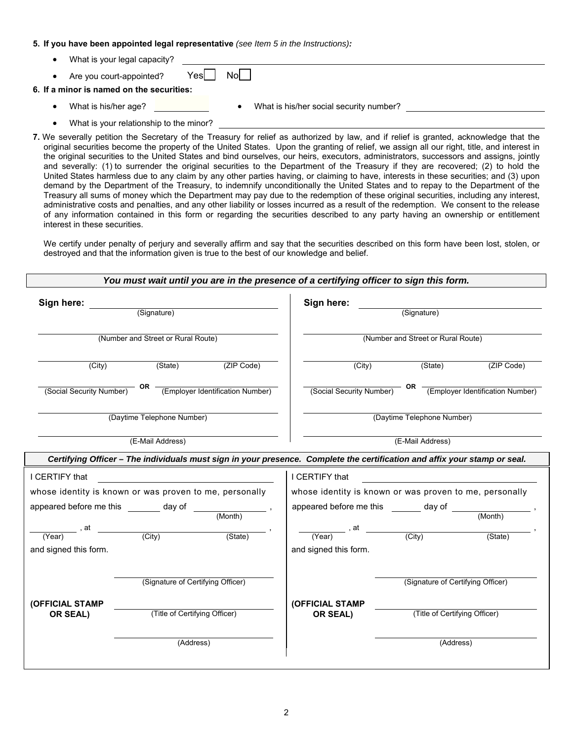### **5. If you have been appointed legal representative** *(see Item 5 in the Instructions):*

- What is your legal capacity?
- Are you court-appointed?  $Yes$  No  $\Box$ **6. If a minor is named on the securities:** • What is his/her age? **What is his/her social security number?** • What is your relationship to the minor?

**7.** We severally petition the Secretary of the Treasury for relief as authorized by law, and if relief is granted, acknowledge that the original securities become the property of the United States. Upon the granting of relief, we assign all our right, title, and interest in the original securities to the United States and bind ourselves, our heirs, executors, administrators, successors and assigns, jointly and severally: (1) to surrender the original securities to the Department of the Treasury if they are recovered; (2) to hold the United States harmless due to any claim by any other parties having, or claiming to have, interests in these securities; and (3) upon demand by the Department of the Treasury, to indemnify unconditionally the United States and to repay to the Department of the Treasury all sums of money which the Department may pay due to the redemption of these original securities, including any interest, administrative costs and penalties, and any other liability or losses incurred as a result of the redemption. We consent to the release of any information contained in this form or regarding the securities described to any party having an ownership or entitlement interest in these securities.

We certify under penalty of perjury and severally affirm and say that the securities described on this form have been lost, stolen, or destroyed and that the information given is true to the best of our knowledge and belief.

| Sign here:                                                                                                                                                                                                                                                                                                                                                                                                    | (Signature)                        |                                                                                                                                                                                                                                                                                                                                                                                                                       | Sign here:                                                                                                                | (Signature)                        |                                       |
|---------------------------------------------------------------------------------------------------------------------------------------------------------------------------------------------------------------------------------------------------------------------------------------------------------------------------------------------------------------------------------------------------------------|------------------------------------|-----------------------------------------------------------------------------------------------------------------------------------------------------------------------------------------------------------------------------------------------------------------------------------------------------------------------------------------------------------------------------------------------------------------------|---------------------------------------------------------------------------------------------------------------------------|------------------------------------|---------------------------------------|
|                                                                                                                                                                                                                                                                                                                                                                                                               |                                    |                                                                                                                                                                                                                                                                                                                                                                                                                       |                                                                                                                           |                                    |                                       |
|                                                                                                                                                                                                                                                                                                                                                                                                               | (Number and Street or Rural Route) |                                                                                                                                                                                                                                                                                                                                                                                                                       |                                                                                                                           | (Number and Street or Rural Route) |                                       |
| (City)                                                                                                                                                                                                                                                                                                                                                                                                        | (State)                            | (ZIP Code)                                                                                                                                                                                                                                                                                                                                                                                                            | (City)                                                                                                                    | (State)                            | (ZIP Code)                            |
| (Social Security Number)                                                                                                                                                                                                                                                                                                                                                                                      |                                    | - OR – (Employer Identification Number)                                                                                                                                                                                                                                                                                                                                                                               | (Social Security Number)                                                                                                  |                                    | - OR (Employer Identification Number) |
| (Daytime Telephone Number)                                                                                                                                                                                                                                                                                                                                                                                    |                                    | (Daytime Telephone Number)                                                                                                                                                                                                                                                                                                                                                                                            |                                                                                                                           |                                    |                                       |
| (E-Mail Address)                                                                                                                                                                                                                                                                                                                                                                                              |                                    |                                                                                                                                                                                                                                                                                                                                                                                                                       | (E-Mail Address)                                                                                                          |                                    |                                       |
|                                                                                                                                                                                                                                                                                                                                                                                                               |                                    |                                                                                                                                                                                                                                                                                                                                                                                                                       | Certifying Officer - The individuals must sign in your presence. Complete the certification and affix your stamp or seal. |                                    |                                       |
| I CERTIFY that                                                                                                                                                                                                                                                                                                                                                                                                |                                    |                                                                                                                                                                                                                                                                                                                                                                                                                       | I CERTIFY that                                                                                                            |                                    |                                       |
| whose identity is known or was proven to me, personally                                                                                                                                                                                                                                                                                                                                                       |                                    |                                                                                                                                                                                                                                                                                                                                                                                                                       | whose identity is known or was proven to me, personally                                                                   |                                    |                                       |
| appeared before me this $\frac{1}{\sqrt{1-\frac{1}{\sqrt{1-\frac{1}{\sqrt{1-\frac{1}{\sqrt{1-\frac{1}{\sqrt{1-\frac{1}{\sqrt{1-\frac{1}{\sqrt{1-\frac{1}{\sqrt{1-\frac{1}{\sqrt{1-\frac{1}{\sqrt{1-\frac{1}{\sqrt{1-\frac{1}{\sqrt{1-\frac{1}{\sqrt{1-\frac{1}{\sqrt{1-\frac{1}{\sqrt{1-\frac{1}{\sqrt{1-\frac{1}{\sqrt{1-\frac{1}{\sqrt{1-\frac{1}{\sqrt{1-\frac{1}{\sqrt{1-\frac{1}{\sqrt{1-\frac{1}{\sqrt$ |                                    | appeared before me this $\frac{1}{\sqrt{1-\frac{1}{2}}}\cdot\frac{1}{\sqrt{1-\frac{1}{2}}}\cdot\frac{1}{\sqrt{1-\frac{1}{2}}}\cdot\frac{1}{\sqrt{1-\frac{1}{2}}}\cdot\frac{1}{\sqrt{1-\frac{1}{2}}}\cdot\frac{1}{\sqrt{1-\frac{1}{2}}}\cdot\frac{1}{\sqrt{1-\frac{1}{2}}}\cdot\frac{1}{\sqrt{1-\frac{1}{2}}}\cdot\frac{1}{\sqrt{1-\frac{1}{2}}}\cdot\frac{1}{\sqrt{1-\frac{1}{2}}}\cdot\frac{1}{\sqrt{1-\frac{1}{2}}$ |                                                                                                                           |                                    |                                       |
|                                                                                                                                                                                                                                                                                                                                                                                                               |                                    |                                                                                                                                                                                                                                                                                                                                                                                                                       |                                                                                                                           |                                    |                                       |
| $\frac{1}{(Year)}$ , at $-$                                                                                                                                                                                                                                                                                                                                                                                   | (City)                             | $\overbrace{\hspace{2.5cm}}^{(State)}$                                                                                                                                                                                                                                                                                                                                                                                | $\frac{1}{\text{(Year)}}$ , at                                                                                            | $\overline{(City)}$                | (State)                               |
| and signed this form.                                                                                                                                                                                                                                                                                                                                                                                         |                                    |                                                                                                                                                                                                                                                                                                                                                                                                                       | and signed this form.                                                                                                     |                                    |                                       |
|                                                                                                                                                                                                                                                                                                                                                                                                               | (Signature of Certifying Officer)  |                                                                                                                                                                                                                                                                                                                                                                                                                       |                                                                                                                           | (Signature of Certifying Officer)  |                                       |
| (OFFICIAL STAMP                                                                                                                                                                                                                                                                                                                                                                                               |                                    |                                                                                                                                                                                                                                                                                                                                                                                                                       | (OFFICIAL STAMP                                                                                                           |                                    |                                       |
| OR SEAL)                                                                                                                                                                                                                                                                                                                                                                                                      | (Title of Certifying Officer)      |                                                                                                                                                                                                                                                                                                                                                                                                                       | OR SEAL)                                                                                                                  | (Title of Certifying Officer)      |                                       |
|                                                                                                                                                                                                                                                                                                                                                                                                               | (Address)                          |                                                                                                                                                                                                                                                                                                                                                                                                                       |                                                                                                                           | (Address)                          |                                       |

#### *You must wait until you are in the presence of a certifying officer to sign this form.*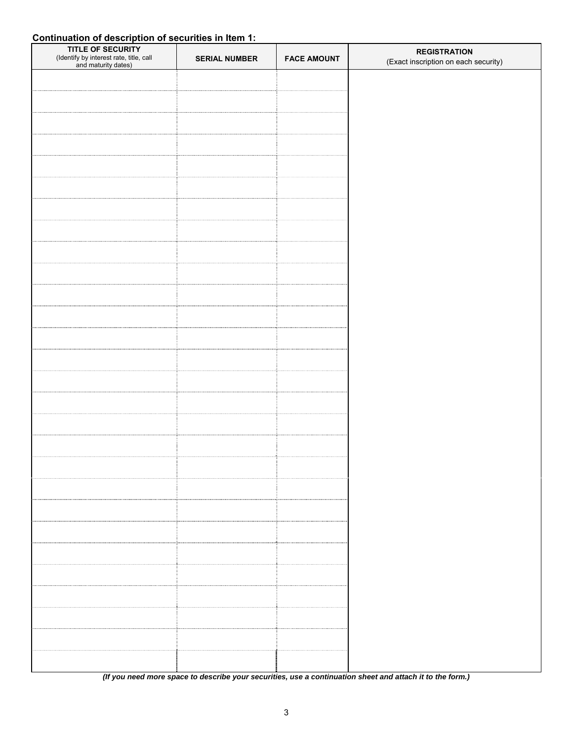# **Continuation of description of securities in Item 1:**

| <b>TITLE OF SECURITY</b><br>(Identify by interest rate, title, call<br>and maturity dates) | <b>SERIAL NUMBER</b> | <b>FACE AMOUNT</b> | <b>REGISTRATION</b><br>(Exact inscription on each security) |
|--------------------------------------------------------------------------------------------|----------------------|--------------------|-------------------------------------------------------------|
|                                                                                            |                      |                    |                                                             |
|                                                                                            |                      |                    |                                                             |
|                                                                                            |                      |                    |                                                             |
|                                                                                            |                      |                    |                                                             |
|                                                                                            |                      |                    |                                                             |
|                                                                                            |                      |                    |                                                             |
|                                                                                            |                      |                    |                                                             |
|                                                                                            |                      |                    |                                                             |
|                                                                                            |                      |                    |                                                             |
|                                                                                            |                      |                    |                                                             |
|                                                                                            |                      |                    |                                                             |
|                                                                                            |                      |                    |                                                             |
|                                                                                            |                      |                    |                                                             |
|                                                                                            |                      |                    |                                                             |
|                                                                                            |                      |                    |                                                             |
|                                                                                            |                      |                    |                                                             |
|                                                                                            |                      |                    |                                                             |
|                                                                                            |                      |                    |                                                             |
|                                                                                            |                      |                    |                                                             |
|                                                                                            |                      |                    |                                                             |
|                                                                                            |                      |                    |                                                             |
|                                                                                            |                      |                    |                                                             |
|                                                                                            |                      |                    |                                                             |
|                                                                                            |                      |                    |                                                             |
|                                                                                            |                      |                    |                                                             |
|                                                                                            |                      |                    |                                                             |
|                                                                                            |                      |                    |                                                             |
|                                                                                            |                      |                    |                                                             |
|                                                                                            |                      |                    |                                                             |

*(If you need more space to describe your securities, use a continuation sheet and attach it to the form.)*